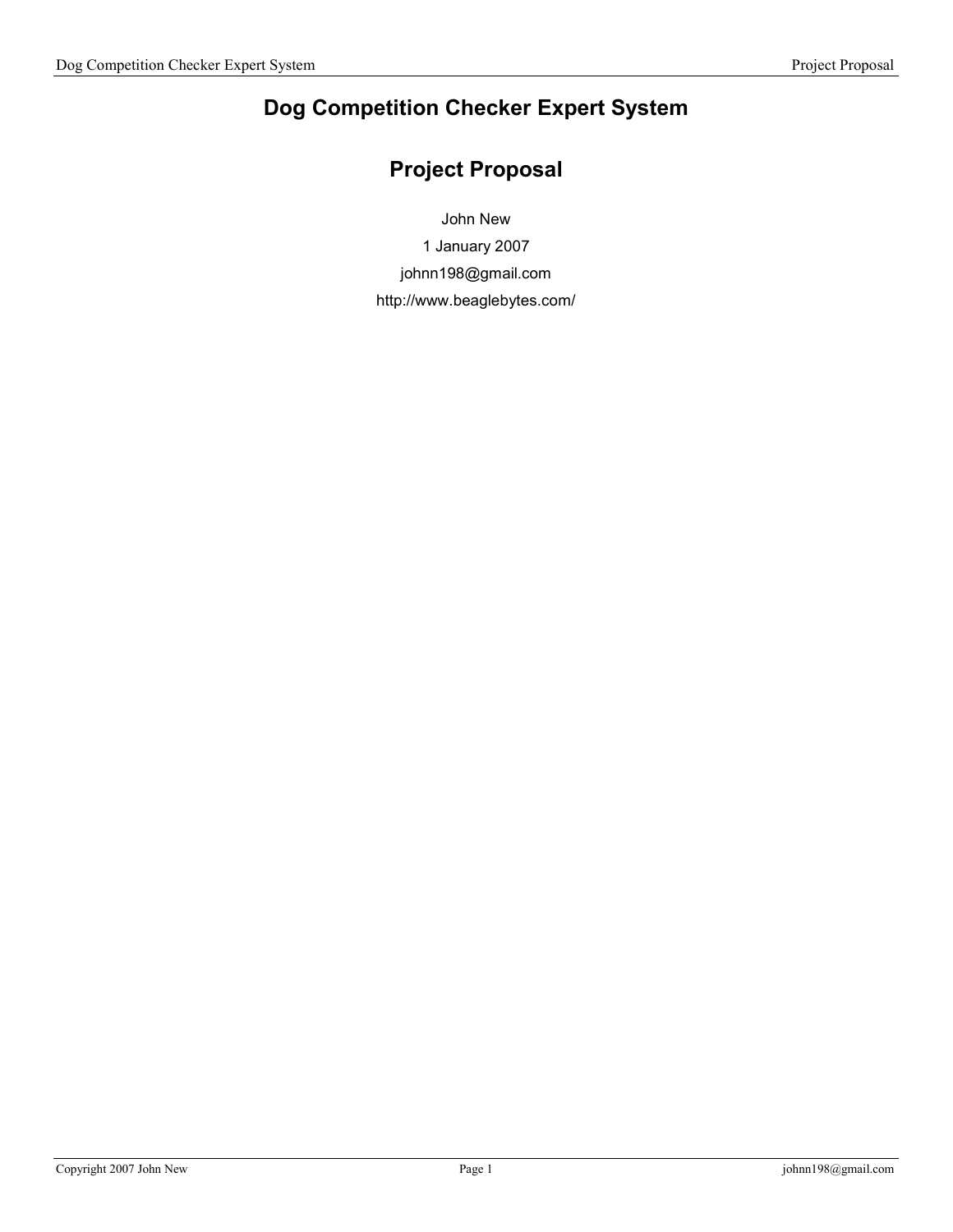# Dog Competition Checker Expert System

## Project Proposal

John New

1 January 2007 johnn198@gmail.com

http://www.beaglebytes.com/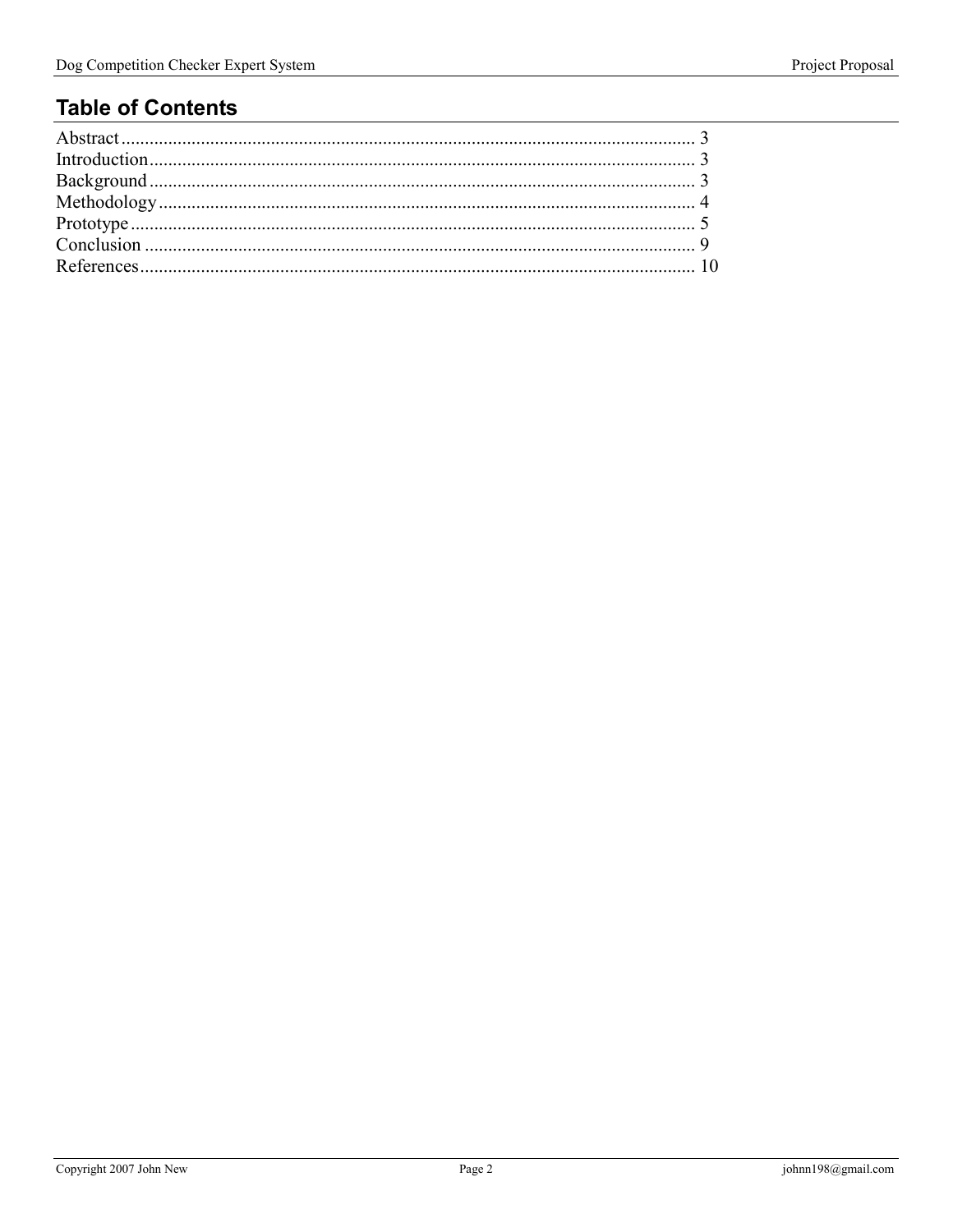## **Table of Contents**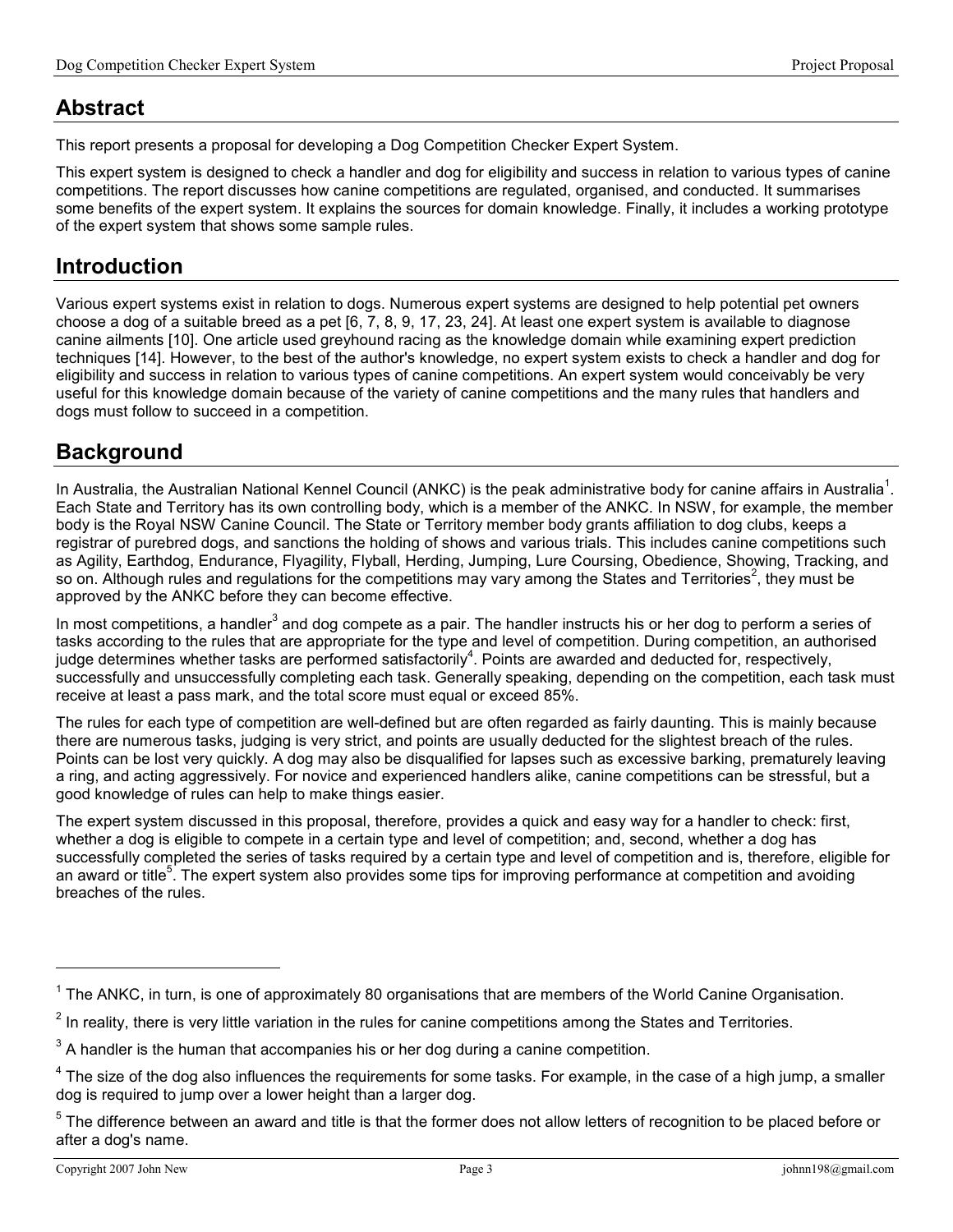### Abstract

This report presents a proposal for developing a Dog Competition Checker Expert System.

This expert system is designed to check a handler and dog for eligibility and success in relation to various types of canine competitions. The report discusses how canine competitions are regulated, organised, and conducted. It summarises some benefits of the expert system. It explains the sources for domain knowledge. Finally, it includes a working prototype of the expert system that shows some sample rules.

### Introduction

Various expert systems exist in relation to dogs. Numerous expert systems are designed to help potential pet owners choose a dog of a suitable breed as a pet [6, 7, 8, 9, 17, 23, 24]. At least one expert system is available to diagnose canine ailments [10]. One article used greyhound racing as the knowledge domain while examining expert prediction techniques [14]. However, to the best of the author's knowledge, no expert system exists to check a handler and dog for eligibility and success in relation to various types of canine competitions. An expert system would conceivably be very useful for this knowledge domain because of the variety of canine competitions and the many rules that handlers and dogs must follow to succeed in a competition.

### **Background**

In Australia, the Australian National Kennel Council (ANKC) is the peak administrative body for canine affairs in Australia<sup>1</sup>. Each State and Territory has its own controlling body, which is a member of the ANKC. In NSW, for example, the member body is the Royal NSW Canine Council. The State or Territory member body grants affiliation to dog clubs, keeps a registrar of purebred dogs, and sanctions the holding of shows and various trials. This includes canine competitions such as Agility, Earthdog, Endurance, Flyagility, Flyball, Herding, Jumping, Lure Coursing, Obedience, Showing, Tracking, and so on. Although rules and regulations for the competitions may vary among the States and Territories<sup>2</sup>, they must be approved by the ANKC before they can become effective.

In most competitions, a handler<sup>3</sup> and dog compete as a pair. The handler instructs his or her dog to perform a series of tasks according to the rules that are appropriate for the type and level of competition. During competition, an authorised judge determines whether tasks are performed satisfactorily<sup>4</sup>. Points are awarded and deducted for, respectively, successfully and unsuccessfully completing each task. Generally speaking, depending on the competition, each task must receive at least a pass mark, and the total score must equal or exceed 85%.

The rules for each type of competition are well-defined but are often regarded as fairly daunting. This is mainly because there are numerous tasks, judging is very strict, and points are usually deducted for the slightest breach of the rules. Points can be lost very quickly. A dog may also be disqualified for lapses such as excessive barking, prematurely leaving a ring, and acting aggressively. For novice and experienced handlers alike, canine competitions can be stressful, but a good knowledge of rules can help to make things easier.

The expert system discussed in this proposal, therefore, provides a quick and easy way for a handler to check: first, whether a dog is eligible to compete in a certain type and level of competition; and, second, whether a dog has successfully completed the series of tasks required by a certain type and level of competition and is, therefore, eligible for an award or title<sup>5</sup>. The expert system also provides some tips for improving performance at competition and avoiding breaches of the rules.

<u>.</u>

 $1$  The ANKC, in turn, is one of approximately 80 organisations that are members of the World Canine Organisation.

 $2$  In reality, there is very little variation in the rules for canine competitions among the States and Territories.

 $3$  A handler is the human that accompanies his or her dog during a canine competition.

 $4$  The size of the dog also influences the requirements for some tasks. For example, in the case of a high jump, a smaller dog is required to jump over a lower height than a larger dog.

<sup>&</sup>lt;sup>5</sup> The difference between an award and title is that the former does not allow letters of recognition to be placed before or after a dog's name.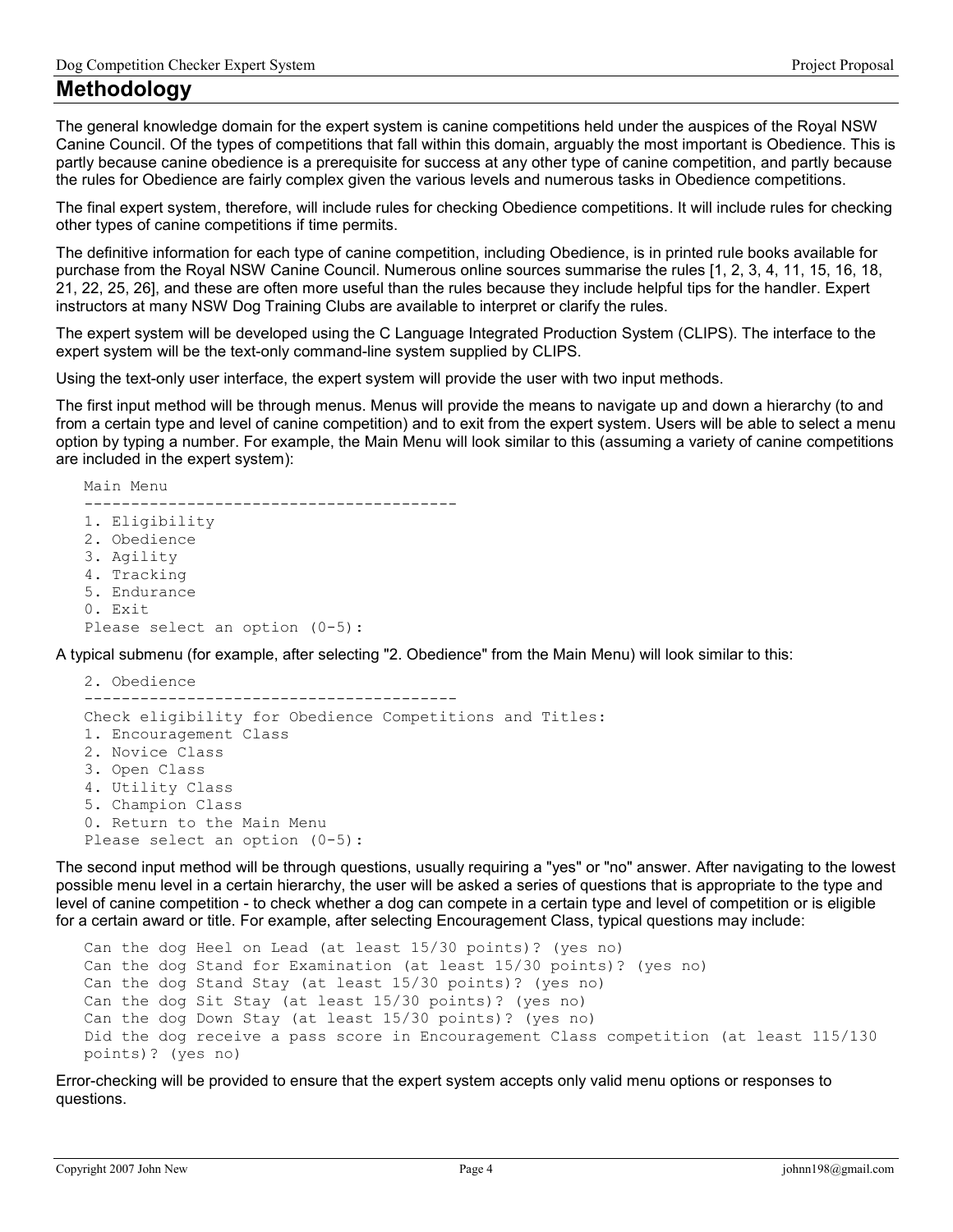### Methodology

The general knowledge domain for the expert system is canine competitions held under the auspices of the Royal NSW Canine Council. Of the types of competitions that fall within this domain, arguably the most important is Obedience. This is partly because canine obedience is a prerequisite for success at any other type of canine competition, and partly because the rules for Obedience are fairly complex given the various levels and numerous tasks in Obedience competitions.

The final expert system, therefore, will include rules for checking Obedience competitions. It will include rules for checking other types of canine competitions if time permits.

The definitive information for each type of canine competition, including Obedience, is in printed rule books available for purchase from the Royal NSW Canine Council. Numerous online sources summarise the rules [1, 2, 3, 4, 11, 15, 16, 18, 21, 22, 25, 26], and these are often more useful than the rules because they include helpful tips for the handler. Expert instructors at many NSW Dog Training Clubs are available to interpret or clarify the rules.

The expert system will be developed using the C Language Integrated Production System (CLIPS). The interface to the expert system will be the text-only command-line system supplied by CLIPS.

Using the text-only user interface, the expert system will provide the user with two input methods.

The first input method will be through menus. Menus will provide the means to navigate up and down a hierarchy (to and from a certain type and level of canine competition) and to exit from the expert system. Users will be able to select a menu option by typing a number. For example, the Main Menu will look similar to this (assuming a variety of canine competitions are included in the expert system):

Main Menu ---------------------------------------- 1. Eligibility 2. Obedience 3. Agility 4. Tracking 5. Endurance 0. Exit Please select an option (0-5):

A typical submenu (for example, after selecting "2. Obedience" from the Main Menu) will look similar to this:

```
2. Obedience 
---------------------------------------- 
Check eligibility for Obedience Competitions and Titles: 
1. Encouragement Class 
2. Novice Class 
3. Open Class 
4. Utility Class 
5. Champion Class 
0. Return to the Main Menu 
Please select an option (0-5):
```
The second input method will be through questions, usually requiring a "yes" or "no" answer. After navigating to the lowest possible menu level in a certain hierarchy, the user will be asked a series of questions that is appropriate to the type and level of canine competition - to check whether a dog can compete in a certain type and level of competition or is eligible for a certain award or title. For example, after selecting Encouragement Class, typical questions may include:

```
Can the dog Heel on Lead (at least 15/30 points)? (yes no) 
Can the dog Stand for Examination (at least 15/30 points)? (yes no) 
Can the dog Stand Stay (at least 15/30 points)? (yes no) 
Can the dog Sit Stay (at least 15/30 points)? (yes no) 
Can the dog Down Stay (at least 15/30 points)? (yes no) 
Did the dog receive a pass score in Encouragement Class competition (at least 115/130 
points)? (yes no)
```
Error-checking will be provided to ensure that the expert system accepts only valid menu options or responses to questions.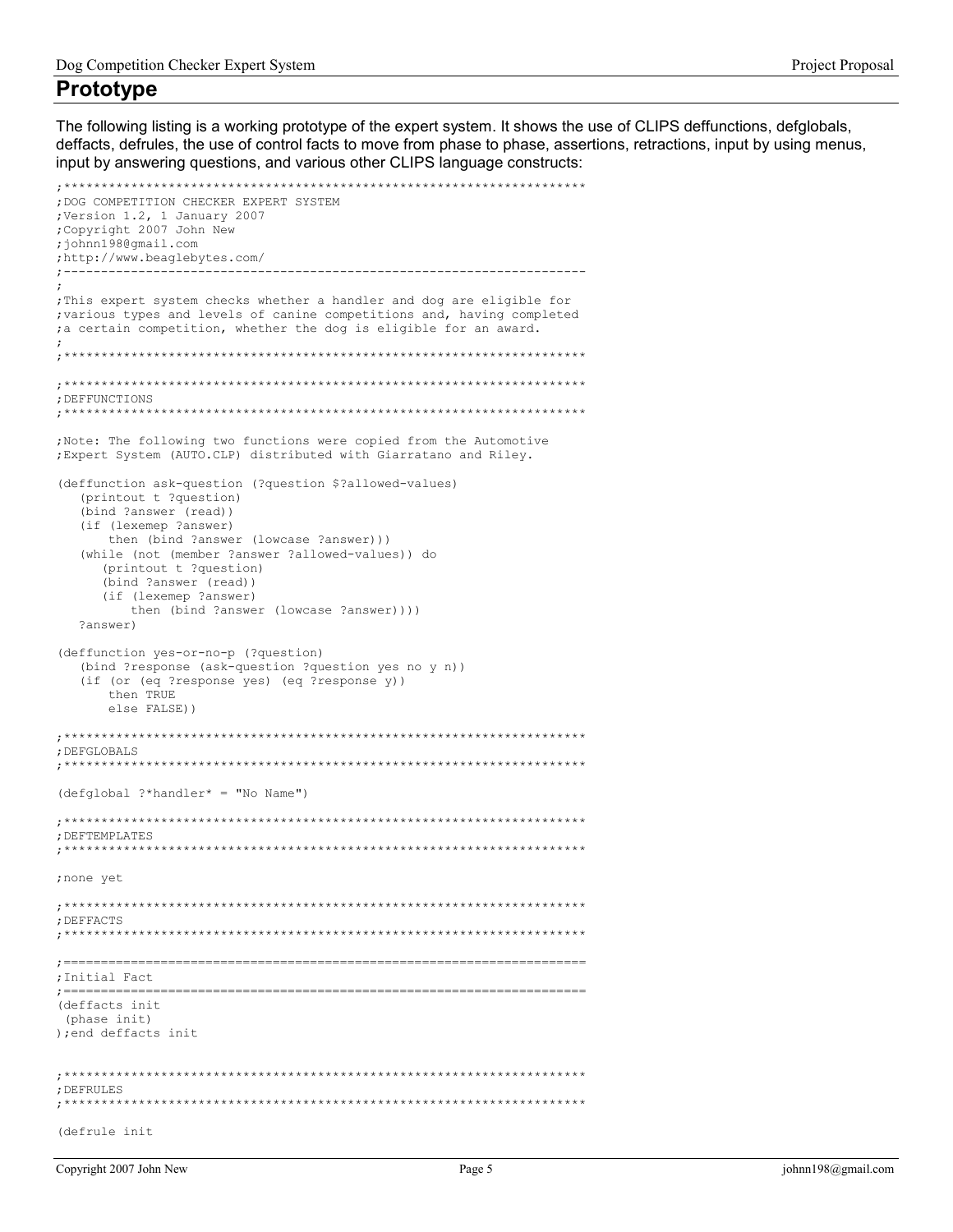#### **Prototype**

The following listing is a working prototype of the expert system. It shows the use of CLIPS deffunctions, defglobals, deffacts, defrules, the use of control facts to move from phase to phase, assertions, retractions, input by using menus, input by answering questions, and various other CLIPS language constructs:

```
; DOG COMPETITION CHECKER EXPERT SYSTEM
;Version 1.2, 1 January 2007
; Copyright 2007 John New
:iohnn198@qmail.com
;http://www.beaglebytes.com/
                   \cdot .
; This expert system checks whether a handler and dog are eligible for
; various types and levels of canine competitions and, having completed
; a certain competition, whether the dog is eligible for an award.
; DEFFUNCTIONS
; Note: The following two functions were copied from the Automotive
; Expert System (AUTO.CLP) distributed with Giarratano and Riley.
(deffunction ask-question (?question $?allowed-values)
 (printout t ?question)
 (bind ?answer (read))
 (if (lexemep ?answer)
   then (bind ?answer (lowcase ?answer)))
 (while (not (member ?answer ?allowed-values)) do
   (printout t ?question)
   (bind ?answer (read))
   (if (lexemep ?answer)
     then (bind ?answer (lowcase ?answer))))
 ?answer)
(deffunction yes-or-no-p (?question)
 (bind ?response (ask-question ?question yes no y n))
 (if (or (eq ?response yes) (eq ?response y))
   then TRUE
   else FALSE))
; DEFGLOBALS
(defglobal ?*handler* = "No Name")
; DEFTEMPLATES
; none yet
; DEFFACTS
      ; Initial Fact
(deffacts init
(phase init)
); end deffacts init
: DEFRULES
;*********(defrule init
```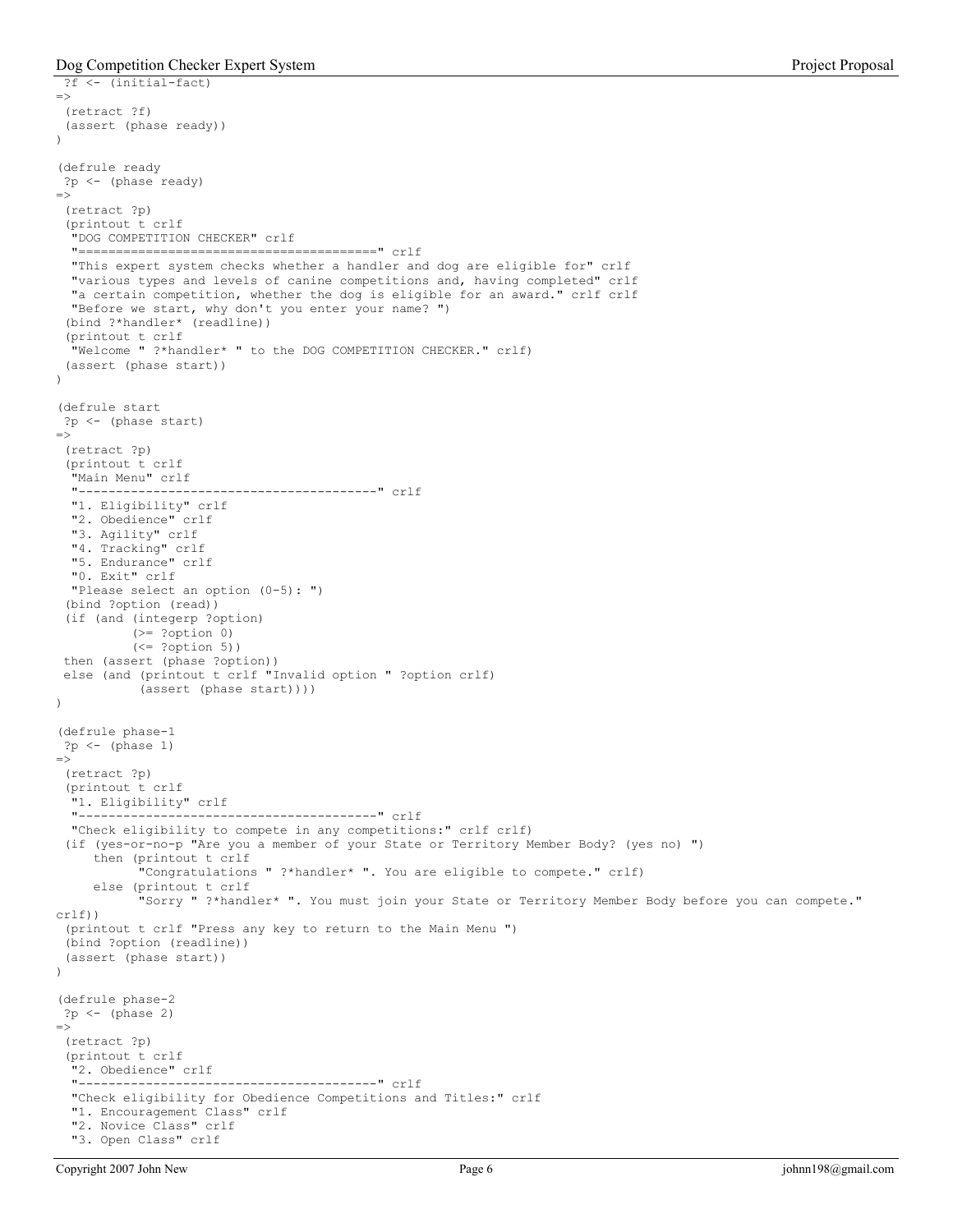```
 ?f <- (initial-fact) 
=> 
  (retract ?f) 
  (assert (phase ready)) 
) 
(defrule ready 
 ?p <- (phase ready) 
\Rightarrow (retract ?p) 
  (printout t crlf 
   "DOG COMPETITION CHECKER" crlf 
   "========================================" crlf 
   "This expert system checks whether a handler and dog are eligible for" crlf 
   "various types and levels of canine competitions and, having completed" crlf 
   "a certain competition, whether the dog is eligible for an award." crlf crlf 
   "Before we start, why don't you enter your name? ") 
  (bind ?*handler* (readline)) 
  (printout t crlf 
   "Welcome " ?*handler* " to the DOG COMPETITION CHECKER." crlf) 
  (assert (phase start)) 
) 
(defrule start 
 ?p <- (phase start) 
\Rightarrow (retract ?p) 
  (printout t crlf 
   "Main Menu" crlf 
   "----------------------------------------" crlf 
   "1. Eligibility" crlf 
   "2. Obedience" crlf 
   "3. Agility" crlf 
   "4. Tracking" crlf 
   "5. Endurance" crlf 
   "0. Exit" crlf 
   "Please select an option (0-5): ") 
  (bind ?option (read)) 
  (if (and (integerp ?option) 
           (>= ?option 0) 
           (<= ?option 5)) 
  then (assert (phase ?option)) 
  else (and (printout t crlf "Invalid option " ?option crlf) 
            (assert (phase start)))) 
) 
(defrule phase-1 
 ?p <- (phase 1) 
\rightarrow (retract ?p) 
  (printout t crlf 
   "1. Eligibility" crlf 
   "----------------------------------------" crlf 
   "Check eligibility to compete in any competitions:" crlf crlf) 
  (if (yes-or-no-p "Are you a member of your State or Territory Member Body? (yes no) ") 
      then (printout t crlf 
             "Congratulations " ?*handler* ". You are eligible to compete." crlf) 
      else (printout t crlf 
             "Sorry " ?*handler* ". You must join your State or Territory Member Body before you can compete." 
crlf)) 
  (printout t crlf "Press any key to return to the Main Menu ") 
  (bind ?option (readline)) 
  (assert (phase start)) 
) 
(defrule phase-2 
 ?p \leftarrow (phase 2)\Rightarrow (retract ?p) 
  (printout t crlf 
   "2. Obedience" crlf 
   "----------------------------------------" crlf 
   "Check eligibility for Obedience Competitions and Titles:" crlf 
   "1. Encouragement Class" crlf 
   "2. Novice Class" crlf 
   "3. Open Class" crlf
```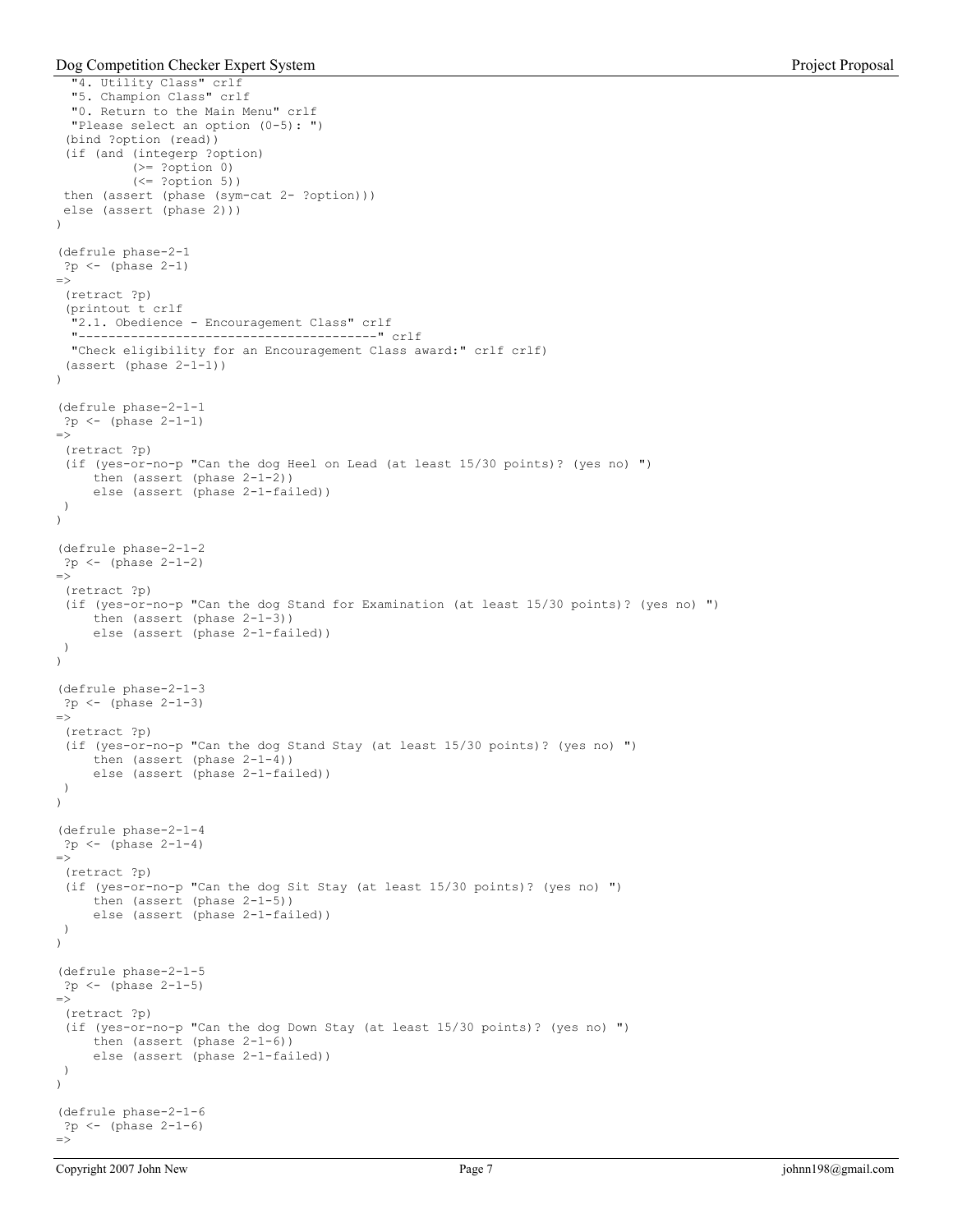```
Dog Competition Checker Expert System Project Proposal
```

```
 "4. Utility Class" crlf 
   "5. Champion Class" crlf 
   "0. Return to the Main Menu" crlf 
   "Please select an option (0-5): ") 
  (bind ?option (read)) 
  (if (and (integerp ?option) 
           (>= ?option 0) 
           (<= ?option 5)) 
  then (assert (phase (sym-cat 2- ?option))) 
  else (assert (phase 2))) 
\lambda(defrule phase-2-1 
 ?p <- (phase 2-1) 
\Rightarrow (retract ?p) 
  (printout t crlf 
   "2.1. Obedience - Encouragement Class" crlf 
   "----------------------------------------" crlf 
   "Check eligibility for an Encouragement Class award:" crlf crlf) 
  (assert (phase 2-1-1)) 
) 
(defrule phase-2-1-1 
 ?p <- (phase 2-1-1) 
\Rightarrow (retract ?p) 
  (if (yes-or-no-p "Can the dog Heel on Lead (at least 15/30 points)? (yes no) ") 
      then (assert (phase 2-1-2)) 
      else (assert (phase 2-1-failed)) 
 ) 
) 
(defrule phase-2-1-2 
 ?p \leftarrow (phase 2-1-2)\Rightarrow (retract ?p) 
  (if (yes-or-no-p "Can the dog Stand for Examination (at least 15/30 points)? (yes no) ") 
      then (assert (phase 2-1-3)) 
      else (assert (phase 2-1-failed)) 
 ) 
) 
(defrule phase-2-1-3 
 ?p <- (phase 2-1-3) 
= (retract ?p) 
  (if (yes-or-no-p "Can the dog Stand Stay (at least 15/30 points)? (yes no) ") 
      then (assert (phase 2-1-4)) 
      else (assert (phase 2-1-failed)) 
 ) 
) 
(defrule phase-2-1-4 
 ?p <- (phase 2-1-4) 
\Rightarrow (retract ?p) 
  (if (yes-or-no-p "Can the dog Sit Stay (at least 15/30 points)? (yes no) ") 
     then (assert (phase 2-1-5))
      else (assert (phase 2-1-failed)) 
 ) 
) 
(defrule phase-2-1-5 
  ?p <- (phase 2-1-5) 
\Rightarrow (retract ?p) 
  (if (yes-or-no-p "Can the dog Down Stay (at least 15/30 points)? (yes no) ") 
      then (assert (phase 2-1-6)) 
      else (assert (phase 2-1-failed)) 
 ) 
) 
(defrule phase-2-1-6 
 ?p <- (phase 2-1-6) 
=>
```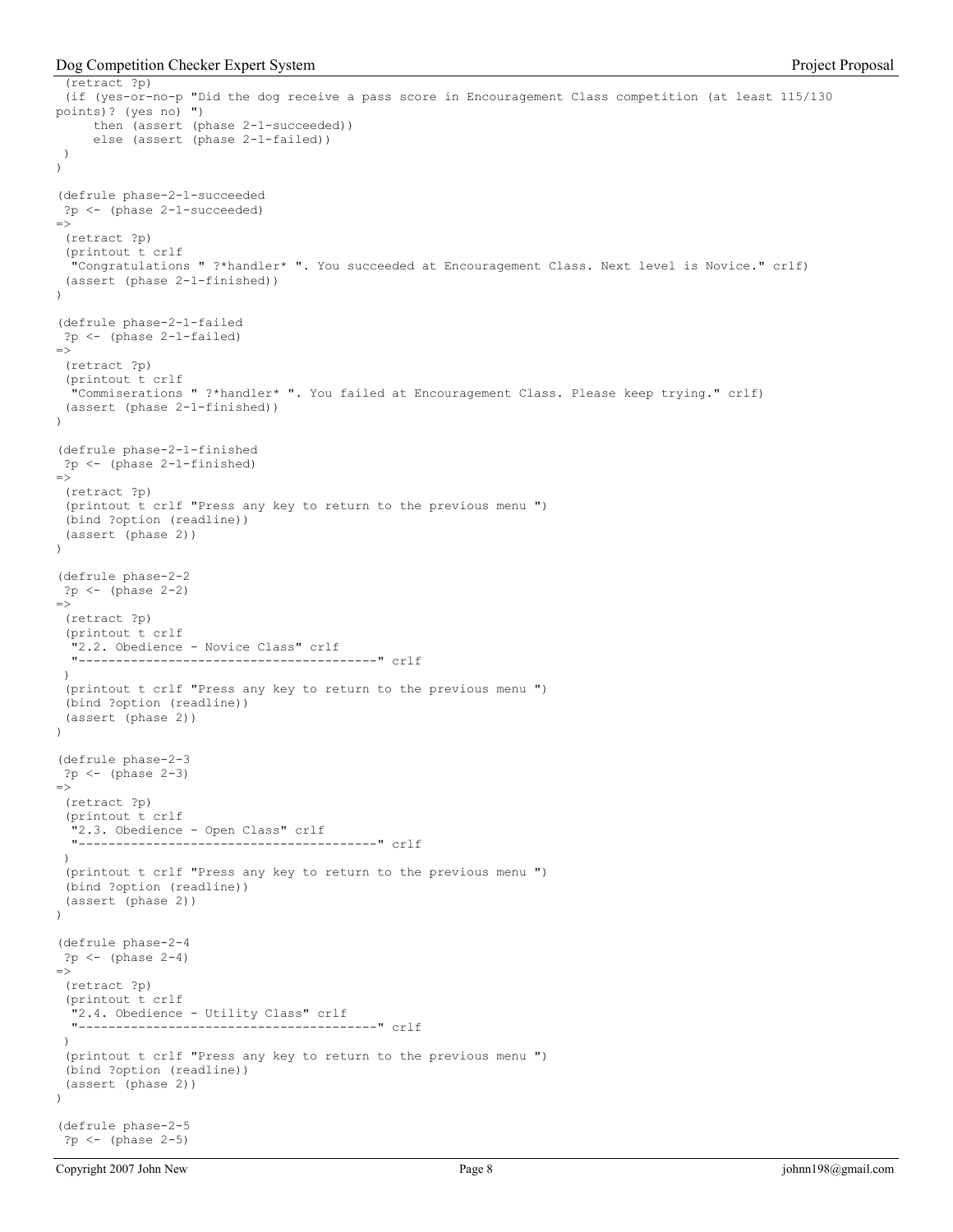Dog Competition Checker Expert System **Project Proposal** 

```
 (retract ?p) 
  (if (yes-or-no-p "Did the dog receive a pass score in Encouragement Class competition (at least 115/130 
points)? (yes no) ") 
      then (assert (phase 2-1-succeeded)) 
      else (assert (phase 2-1-failed)) 
  ) 
) 
(defrule phase-2-1-succeeded 
 ?p <- (phase 2-1-succeeded) 
\Rightarrow (retract ?p) 
  (printout t crlf 
   "Congratulations " ?*handler* ". You succeeded at Encouragement Class. Next level is Novice." crlf) 
  (assert (phase 2-1-finished)) 
) 
(defrule phase-2-1-failed 
 ?p <- (phase 2-1-failed) 
\Rightarrow (retract ?p) 
  (printout t crlf 
   "Commiserations " ?*handler* ". You failed at Encouragement Class. Please keep trying." crlf) 
  (assert (phase 2-1-finished)) 
\lambda(defrule phase-2-1-finished 
  ?p <- (phase 2-1-finished) 
\Rightarrow (retract ?p) 
  (printout t crlf "Press any key to return to the previous menu ") 
  (bind ?option (readline)) 
  (assert (phase 2)) 
\lambda(defrule phase-2-2 
  ?p <- (phase 2-2) 
\Rightarrow (retract ?p) 
  (printout t crlf 
   "2.2. Obedience - Novice Class" crlf 
         "----------------------------------------" crlf 
 \lambda (printout t crlf "Press any key to return to the previous menu ") 
  (bind ?option (readline)) 
  (assert (phase 2)) 
) 
(defrule phase-2-3 
  ?p <- (phase 2-3) 
\Rightarrow (retract ?p) 
  (printout t crlf 
    "2.3. Obedience - Open Class" crlf 
   "----------------------------------------" crlf 
  ) 
  (printout t crlf "Press any key to return to the previous menu ") 
  (bind ?option (readline)) 
  (assert (phase 2)) 
\lambda(defrule phase-2-4 
 ?p <- (phase 2-4) 
\Rightarrow (retract ?p) 
  (printout t crlf 
   "2.4. Obedience - Utility Class" crlf 
   "----------------------------------------" crlf 
 ) 
  (printout t crlf "Press any key to return to the previous menu ") 
  (bind ?option (readline)) 
  (assert (phase 2)) 
\lambda(defrule phase-2-5 
  ?p <- (phase 2-5)
```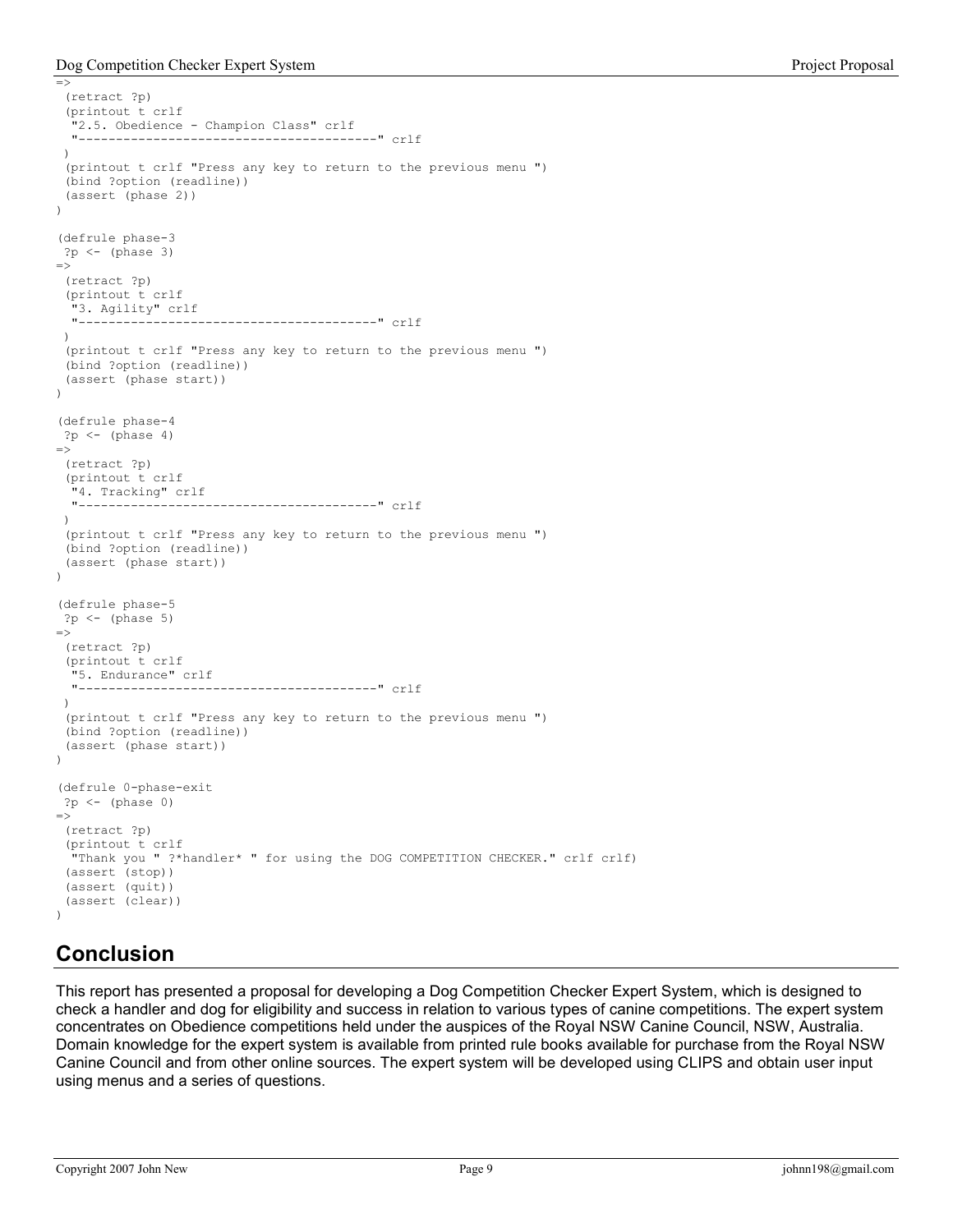Dog Competition Checker Expert System **Project Proposal** 

```
\Rightarrow (retract ?p) 
  (printout t crlf 
   "2.5. Obedience - Champion Class" crlf 
          "----------------------------------------" crlf 
 \lambda (printout t crlf "Press any key to return to the previous menu ") 
  (bind ?option (readline)) 
  (assert (phase 2)) 
) 
(defrule phase-3 
?p \leftarrow (phase 3)\Rightarrow (retract ?p) 
  (printout t crlf 
   "3. Agility" crlf 
                          "----------------------------------------" crlf 
  ) 
  (printout t crlf "Press any key to return to the previous menu ") 
  (bind ?option (readline)) 
  (assert (phase start)) 
) 
(defrule phase-4 
?p \leftarrow (phase 4)\Rightarrow (retract ?p) 
  (printout t crlf 
  "4. Tracking" crlf<br>"------------------
                   "----------------------------------------" crlf 
  ) 
  (printout t crlf "Press any key to return to the previous menu ") 
  (bind ?option (readline)) 
  (assert (phase start)) 
\lambda(defrule phase-5 
  ?p <- (phase 5) 
\Rightarrow (retract ?p) 
  (printout t crlf 
   "5. Endurance" crlf 
   "----------------------------------------" crlf 
  ) 
  (printout t crlf "Press any key to return to the previous menu ") 
  (bind ?option (readline)) 
  (assert (phase start)) 
\lambda(defrule 0-phase-exit 
 ?p <- (phase 0) 
\Rightarrow (retract ?p) 
  (printout t crlf 
   "Thank you " ?*handler* " for using the DOG COMPETITION CHECKER." crlf crlf) 
  (assert (stop)) 
  (assert (quit)) 
  (assert (clear)) 
\lambda
```
## Conclusion

This report has presented a proposal for developing a Dog Competition Checker Expert System, which is designed to check a handler and dog for eligibility and success in relation to various types of canine competitions. The expert system concentrates on Obedience competitions held under the auspices of the Royal NSW Canine Council, NSW, Australia. Domain knowledge for the expert system is available from printed rule books available for purchase from the Royal NSW Canine Council and from other online sources. The expert system will be developed using CLIPS and obtain user input using menus and a series of questions.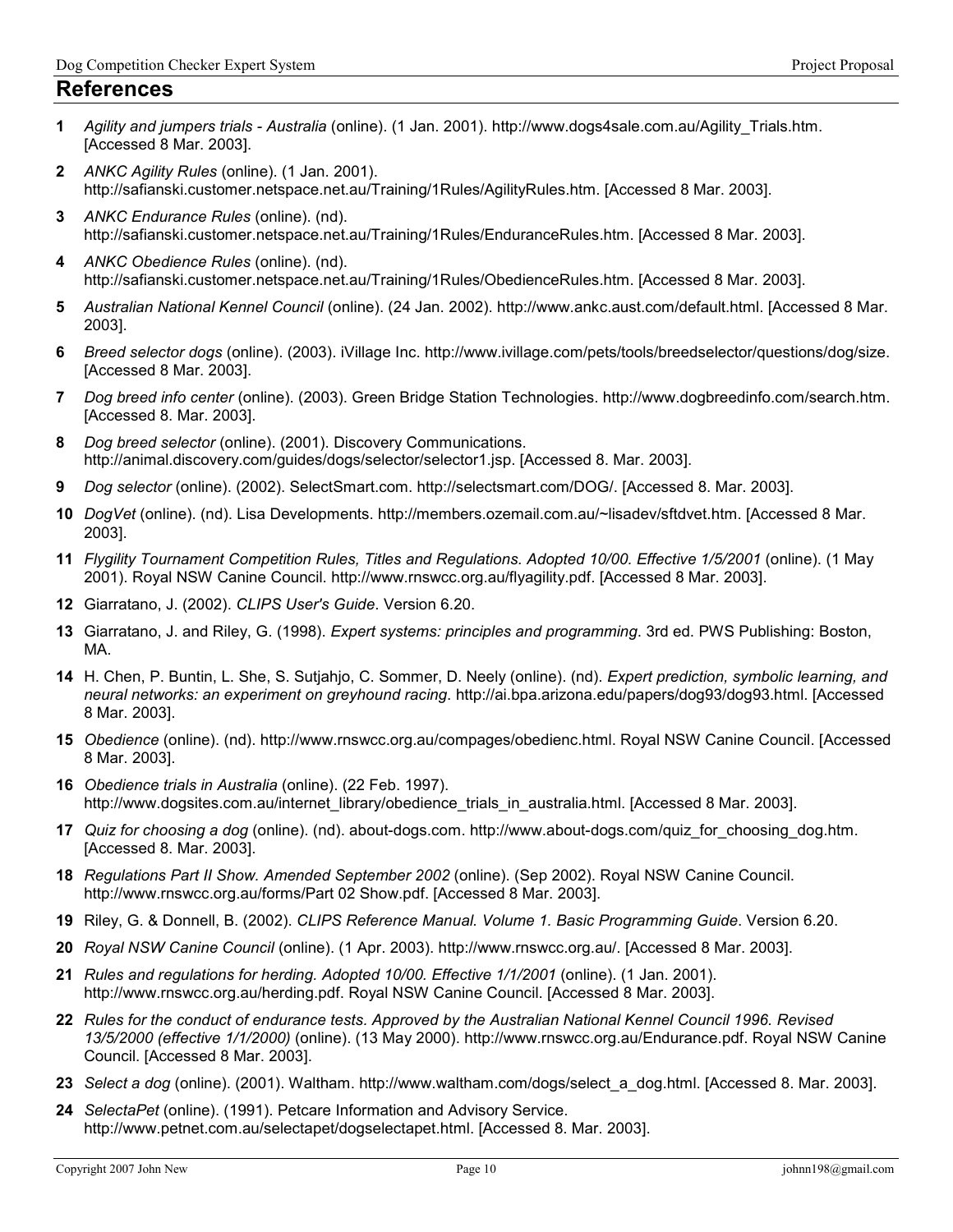#### References

- 1 Agility and jumpers trials Australia (online). (1 Jan. 2001). http://www.dogs4sale.com.au/Agility\_Trials.htm. [Accessed 8 Mar. 2003].
- 2 ANKC Agility Rules (online). (1 Jan. 2001). http://safianski.customer.netspace.net.au/Training/1Rules/AgilityRules.htm. [Accessed 8 Mar. 2003].
- 3 ANKC Endurance Rules (online). (nd). http://safianski.customer.netspace.net.au/Training/1Rules/EnduranceRules.htm. [Accessed 8 Mar. 2003].
- 4 ANKC Obedience Rules (online). (nd). http://safianski.customer.netspace.net.au/Training/1Rules/ObedienceRules.htm. [Accessed 8 Mar. 2003].
- 5 Australian National Kennel Council (online). (24 Jan. 2002). http://www.ankc.aust.com/default.html. [Accessed 8 Mar. 2003].
- 6 Breed selector dogs (online). (2003). iVillage Inc. http://www.ivillage.com/pets/tools/breedselector/questions/dog/size. [Accessed 8 Mar. 2003].
- 7 Dog breed info center (online). (2003). Green Bridge Station Technologies. http://www.dogbreedinfo.com/search.htm. [Accessed 8. Mar. 2003].
- 8 Dog breed selector (online). (2001). Discovery Communications. http://animal.discovery.com/guides/dogs/selector/selector1.jsp. [Accessed 8. Mar. 2003].
- 9 Dog selector (online). (2002). SelectSmart.com. http://selectsmart.com/DOG/. [Accessed 8. Mar. 2003].
- 10 DogVet (online). (nd). Lisa Developments. http://members.ozemail.com.au/~lisadev/sftdvet.htm. [Accessed 8 Mar. 2003].
- 11 Flygility Tournament Competition Rules, Titles and Regulations. Adopted 10/00. Effective 1/5/2001 (online). (1 May 2001). Royal NSW Canine Council. http://www.rnswcc.org.au/flyagility.pdf. [Accessed 8 Mar. 2003].
- 12 Giarratano, J. (2002). CLIPS User's Guide. Version 6.20.
- 13 Giarratano, J. and Riley, G. (1998). Expert systems: principles and programming. 3rd ed. PWS Publishing: Boston, MA.
- 14 H. Chen, P. Buntin, L. She, S. Sutjahjo, C. Sommer, D. Neely (online). (nd). Expert prediction, symbolic learning, and neural networks: an experiment on greyhound racing. http://ai.bpa.arizona.edu/papers/dog93/dog93.html. [Accessed 8 Mar. 2003].
- 15 Obedience (online). (nd). http://www.rnswcc.org.au/compages/obedienc.html. Royal NSW Canine Council. [Accessed 8 Mar. 2003].
- 16 Obedience trials in Australia (online). (22 Feb. 1997). http://www.dogsites.com.au/internet\_library/obedience\_trials\_in\_australia.html. [Accessed 8 Mar. 2003].
- 17 Quiz for choosing a dog (online). (nd). about-dogs.com. http://www.about-dogs.com/quiz\_for\_choosing\_dog.htm. [Accessed 8. Mar. 2003].
- 18 Regulations Part II Show. Amended September 2002 (online). (Sep 2002). Royal NSW Canine Council. http://www.rnswcc.org.au/forms/Part 02 Show.pdf. [Accessed 8 Mar. 2003].
- 19 Riley, G. & Donnell, B. (2002). CLIPS Reference Manual. Volume 1. Basic Programming Guide. Version 6.20.
- 20 Royal NSW Canine Council (online). (1 Apr. 2003). http://www.rnswcc.org.au/. [Accessed 8 Mar. 2003].
- 21 Rules and regulations for herding. Adopted 10/00. Effective 1/1/2001 (online). (1 Jan. 2001). http://www.rnswcc.org.au/herding.pdf. Royal NSW Canine Council. [Accessed 8 Mar. 2003].
- 22 Rules for the conduct of endurance tests. Approved by the Australian National Kennel Council 1996. Revised 13/5/2000 (effective 1/1/2000) (online). (13 May 2000). http://www.rnswcc.org.au/Endurance.pdf. Royal NSW Canine Council. [Accessed 8 Mar. 2003].
- 23 Select a dog (online). (2001). Waltham. http://www.waltham.com/dogs/select\_a\_dog.html. [Accessed 8. Mar. 2003].
- 24 SelectaPet (online). (1991). Petcare Information and Advisory Service. http://www.petnet.com.au/selectapet/dogselectapet.html. [Accessed 8. Mar. 2003].